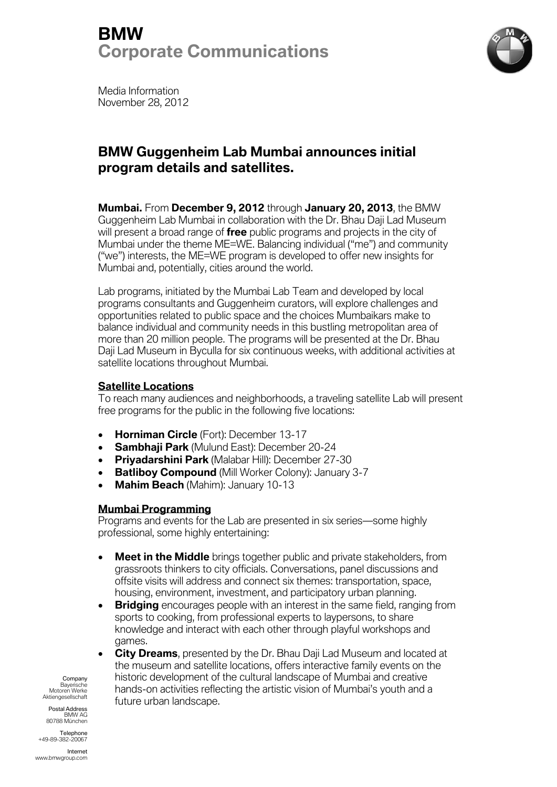

Media Information November 28, 2012

## **BMW Guggenheim Lab Mumbai announces initial program details and satellites.**

**Mumbai.** From **December 9, 2012** through **January 20, 2013**, the BMW Guggenheim Lab Mumbai in collaboration with the Dr. Bhau Daji Lad Museum will present a broad range of **free** public programs and projects in the city of Mumbai under the theme ME=WE. Balancing individual ("me") and community ("we") interests, the ME=WE program is developed to offer new insights for Mumbai and, potentially, cities around the world.

Lab programs, initiated by the Mumbai Lab Team and developed by local programs consultants and Guggenheim curators, will explore challenges and opportunities related to public space and the choices Mumbaikars make to balance individual and community needs in this bustling metropolitan area of more than 20 million people. The programs will be presented at the Dr. Bhau Daji Lad Museum in Byculla for six continuous weeks, with additional activities at satellite locations throughout Mumbai.

### **Satellite Locations**

To reach many audiences and neighborhoods, a traveling satellite Lab will present free programs for the public in the following five locations:

- **Horniman Circle** (Fort): December 13-17
- **Sambhaji Park** (Mulund East): December 20-24
- **Priyadarshini Park** (Malabar Hill): December 27-30
- **Batliboy Compound** (Mill Worker Colony): January 3-7
- **Mahim Beach** (Mahim): January 10-13

#### **Mumbai Programming**

Programs and events for the Lab are presented in six series—some highly professional, some highly entertaining:

- **Meet in the Middle** brings together public and private stakeholders, from grassroots thinkers to city officials. Conversations, panel discussions and offsite visits will address and connect six themes: transportation, space, housing, environment, investment, and participatory urban planning.
- **Bridging** encourages people with an interest in the same field, ranging from sports to cooking, from professional experts to laypersons, to share knowledge and interact with each other through playful workshops and games.
- **City Dreams**, presented by the Dr. Bhau Daji Lad Museum and located at the museum and satellite locations, offers interactive family events on the historic development of the cultural landscape of Mumbai and creative hands-on activities reflecting the artistic vision of Mumbai's youth and a future urban landscape.

**Company Bayerische** Motoren Werke Aktiengesellschaft

Postal Address BMW AG 80788 München

Telephone +49-89-382-20067

Internet www.bmwgroup.com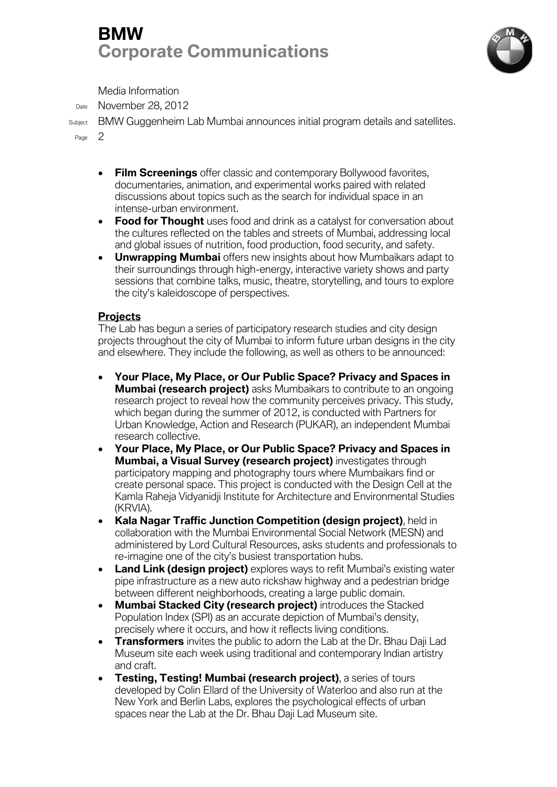

Media Information

Date November 28, 2012

Subject BMW Guggenheim Lab Mumbai announces initial program details and satellites.

Page 2

- **Film Screenings** offer classic and contemporary Bollywood favorites, documentaries, animation, and experimental works paired with related discussions about topics such as the search for individual space in an intense-urban environment.
- **Food for Thought** uses food and drink as a catalyst for conversation about the cultures reflected on the tables and streets of Mumbai, addressing local and global issues of nutrition, food production, food security, and safety.
- **Unwrapping Mumbai** offers new insights about how Mumbaikars adapt to their surroundings through high-energy, interactive variety shows and party sessions that combine talks, music, theatre, storytelling, and tours to explore the city's kaleidoscope of perspectives.

### **Projects**

The Lab has begun a series of participatory research studies and city design projects throughout the city of Mumbai to inform future urban designs in the city and elsewhere. They include the following, as well as others to be announced:

- **Your Place, My Place, or Our Public Space? Privacy and Spaces in Mumbai (research project)** asks Mumbaikars to contribute to an ongoing research project to reveal how the community perceives privacy. This study, which began during the summer of 2012, is conducted with Partners for Urban Knowledge, Action and Research (PUKAR), an independent Mumbai research collective.
- **Your Place, My Place, or Our Public Space? Privacy and Spaces in Mumbai, a Visual Survey (research project)** investigates through participatory mapping and photography tours where Mumbaikars find or create personal space. This project is conducted with the Design Cell at the Kamla Raheja Vidyanidji Institute for Architecture and Environmental Studies (KRVIA).
- **Kala Nagar Traffic Junction Competition (design project)**, held in collaboration with the Mumbai Environmental Social Network (MESN) and administered by Lord Cultural Resources, asks students and professionals to re-imagine one of the city's busiest transportation hubs.
- **Land Link (design project)** explores ways to refit Mumbai's existing water pipe infrastructure as a new auto rickshaw highway and a pedestrian bridge between different neighborhoods, creating a large public domain.
- **Mumbai Stacked City (research project)** introduces the Stacked Population Index (SPI) as an accurate depiction of Mumbai's density, precisely where it occurs, and how it reflects living conditions.
- **Transformers** invites the public to adorn the Lab at the Dr. Bhau Daji Lad Museum site each week using traditional and contemporary Indian artistry and craft.
- **Testing, Testing! Mumbai (research project)**, a series of tours developed by Colin Ellard of the University of Waterloo and also run at the New York and Berlin Labs, explores the psychological effects of urban spaces near the Lab at the Dr. Bhau Daji Lad Museum site.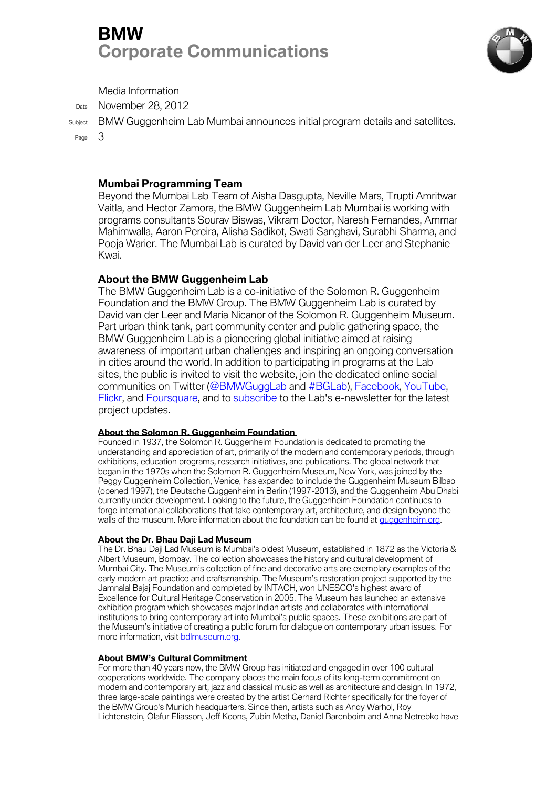

Media Information

Date November 28, 2012

Subject BMW Guggenheim Lab Mumbai announces initial program details and satellites.

Page 3

### **Mumbai Programming Team**

Beyond the Mumbai Lab Team of Aisha Dasgupta, Neville Mars, Trupti Amritwar Vaitla, and Hector Zamora, the BMW Guggenheim Lab Mumbai is working with programs consultants Sourav Biswas, Vikram Doctor, Naresh Fernandes, Ammar Mahimwalla, Aaron Pereira, Alisha Sadikot, Swati Sanghavi, Surabhi Sharma, and Pooja Warier. The Mumbai Lab is curated by David van der Leer and Stephanie Kwai.

### **About the BMW Guggenheim Lab**

The BMW Guggenheim Lab is a co-initiative of the Solomon R. Guggenheim Foundation and the BMW Group. The BMW Guggenheim Lab is curated by David van der Leer and Maria Nicanor of the Solomon R. Guggenheim Museum. Part urban think tank, part community center and public gathering space, the BMW Guggenheim Lab is a pioneering global initiative aimed at raising awareness of important urban challenges and inspiring an ongoing conversation in cities around the world. In addition to participating in programs at the Lab sites, the public is invited to visit the website, join the dedicated online social communities on Twitter [\(@BMWGuggLab](http://twitter.com/bmwgugglab) and [#BGLab\)](https://twitter.com/search/%23bglab), [Facebook,](http://www.facebook.com/BMWGuggenheimLab) [YouTube,](http://www.youtube.com/bmwguggenheimlab) [Flickr,](http://www.flickr.com/photos/bmwguggenheimlab) and [Foursquare,](https://foursquare.com/bmwgugglab) and to [subscribe](http://www.bmwguggenheimlab.org/subscribe) to the Lab's e-newsletter for the latest project updates.

#### **About the Solomon R. Guggenheim Foundation**

Founded in 1937, the Solomon R. Guggenheim Foundation is dedicated to promoting the understanding and appreciation of art, primarily of the modern and contemporary periods, through exhibitions, education programs, research initiatives, and publications. The global network that began in the 1970s when the Solomon R. Guggenheim Museum, New York, was joined by the Peggy Guggenheim Collection, Venice, has expanded to include the Guggenheim Museum Bilbao (opened 1997), the Deutsche Guggenheim in Berlin (1997-2013), and the Guggenheim Abu Dhabi currently under development. Looking to the future, the Guggenheim Foundation continues to forge international collaborations that take contemporary art, architecture, and design beyond the walls of the museum. More information about the foundation can be found at [guggenheim.org.](http://www.guggenheim.org/)

#### **About the Dr. Bhau Daji Lad Museum**

The Dr. Bhau Daji Lad Museum is Mumbai's oldest Museum, established in 1872 as the Victoria & Albert Museum, Bombay. The collection showcases the history and cultural development of Mumbai City. The Museum's collection of fine and decorative arts are exemplary examples of the early modern art practice and craftsmanship. The Museum's restoration project supported by the Jamnalal Bajaj Foundation and completed by INTACH, won UNESCO's highest award of *Excellence for Cultural Heritage Conservation* in 2005. The Museum has launched an extensive exhibition program which showcases major Indian artists and collaborates with international institutions to bring contemporary art into Mumbai's public spaces. These exhibitions are part of the Museum's initiative of creating a public forum for dialogue on contemporary urban issues. For more information, visit [bdlmuseum.org.](http://www.bdlmuseum.org/)

#### **About BMW's Cultural Commitment**

For more than 40 years now, the BMW Group has initiated and engaged in over 100 cultural cooperations worldwide. The company places the main focus of its long-term commitment on modern and contemporary art, jazz and classical music as well as architecture and design. In 1972, three large-scale paintings were created by the artist Gerhard Richter specifically for the foyer of the BMW Group's Munich headquarters. Since then, artists such as Andy Warhol, Roy Lichtenstein, Olafur Eliasson, Jeff Koons, Zubin Metha, Daniel Barenboim and Anna Netrebko have